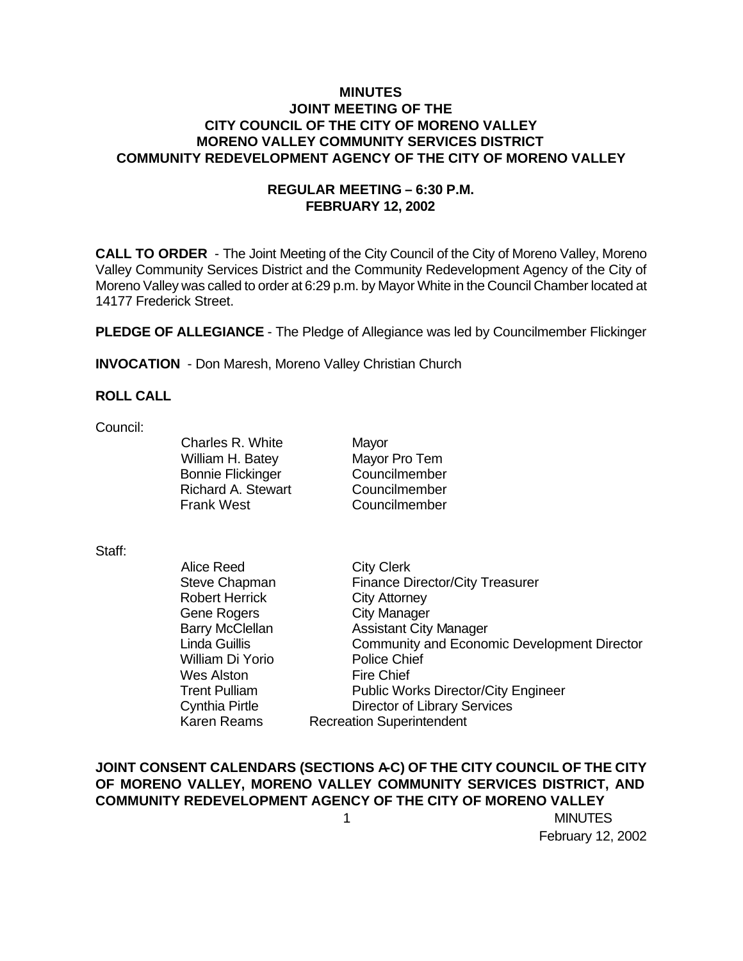### **MINUTES JOINT MEETING OF THE CITY COUNCIL OF THE CITY OF MORENO VALLEY MORENO VALLEY COMMUNITY SERVICES DISTRICT COMMUNITY REDEVELOPMENT AGENCY OF THE CITY OF MORENO VALLEY**

### **REGULAR MEETING – 6:30 P.M. FEBRUARY 12, 2002**

**CALL TO ORDER** - The Joint Meeting of the City Council of the City of Moreno Valley, Moreno Valley Community Services District and the Community Redevelopment Agency of the City of Moreno Valley was called to order at 6:29 p.m. by Mayor White in the Council Chamber located at 14177 Frederick Street.

**PLEDGE OF ALLEGIANCE** - The Pledge of Allegiance was led by Councilmember Flickinger

**INVOCATION** - Don Maresh, Moreno Valley Christian Church

### **ROLL CALL**

Council:

Charles R. White Mayor William H. Batey Mayor Pro Tem Bonnie Flickinger Councilmember Richard A. Stewart Councilmember Frank West Councilmember

#### Staff:

| <b>Alice Reed</b>      | <b>City Clerk</b>                                  |
|------------------------|----------------------------------------------------|
| Steve Chapman          | <b>Finance Director/City Treasurer</b>             |
| <b>Robert Herrick</b>  | <b>City Attorney</b>                               |
| <b>Gene Rogers</b>     | <b>City Manager</b>                                |
| <b>Barry McClellan</b> | <b>Assistant City Manager</b>                      |
| Linda Guillis          | <b>Community and Economic Development Director</b> |
| William Di Yorio       | <b>Police Chief</b>                                |
| <b>Wes Alston</b>      | <b>Fire Chief</b>                                  |
| <b>Trent Pulliam</b>   | <b>Public Works Director/City Engineer</b>         |
| Cynthia Pirtle         | <b>Director of Library Services</b>                |
| <b>Karen Reams</b>     | <b>Recreation Superintendent</b>                   |

## JOINT CONSENT CALENDARS (SECTIONS A-C) OF THE CITY COUNCIL OF THE CITY **OF MORENO VALLEY, MORENO VALLEY COMMUNITY SERVICES DISTRICT, AND COMMUNITY REDEVELOPMENT AGENCY OF THE CITY OF MORENO VALLEY**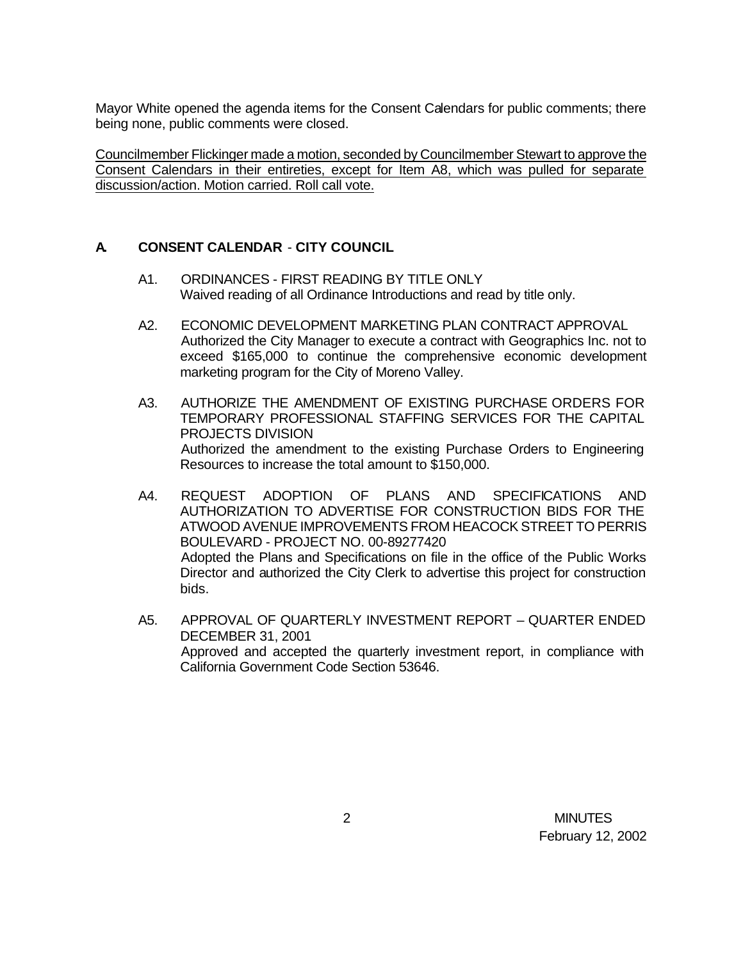Mayor White opened the agenda items for the Consent Calendars for public comments; there being none, public comments were closed.

Councilmember Flickinger made a motion, seconded by Councilmember Stewart to approve the Consent Calendars in their entireties, except for Item A8, which was pulled for separate discussion/action. Motion carried. Roll call vote.

## **A. CONSENT CALENDAR** - **CITY COUNCIL**

- A1. ORDINANCES FIRST READING BY TITLE ONLY Waived reading of all Ordinance Introductions and read by title only.
- A2. ECONOMIC DEVELOPMENT MARKETING PLAN CONTRACT APPROVAL Authorized the City Manager to execute a contract with Geographics Inc. not to exceed \$165,000 to continue the comprehensive economic development marketing program for the City of Moreno Valley.
- A3. AUTHORIZE THE AMENDMENT OF EXISTING PURCHASE ORDERS FOR TEMPORARY PROFESSIONAL STAFFING SERVICES FOR THE CAPITAL PROJECTS DIVISION Authorized the amendment to the existing Purchase Orders to Engineering Resources to increase the total amount to \$150,000.
- A4. REQUEST ADOPTION OF PLANS AND SPECIFICATIONS AND AUTHORIZATION TO ADVERTISE FOR CONSTRUCTION BIDS FOR THE ATWOOD AVENUE IMPROVEMENTS FROM HEACOCK STREET TO PERRIS BOULEVARD - PROJECT NO. 00-89277420 Adopted the Plans and Specifications on file in the office of the Public Works Director and authorized the City Clerk to advertise this project for construction bids.
- A5. APPROVAL OF QUARTERLY INVESTMENT REPORT QUARTER ENDED DECEMBER 31, 2001 Approved and accepted the quarterly investment report, in compliance with California Government Code Section 53646.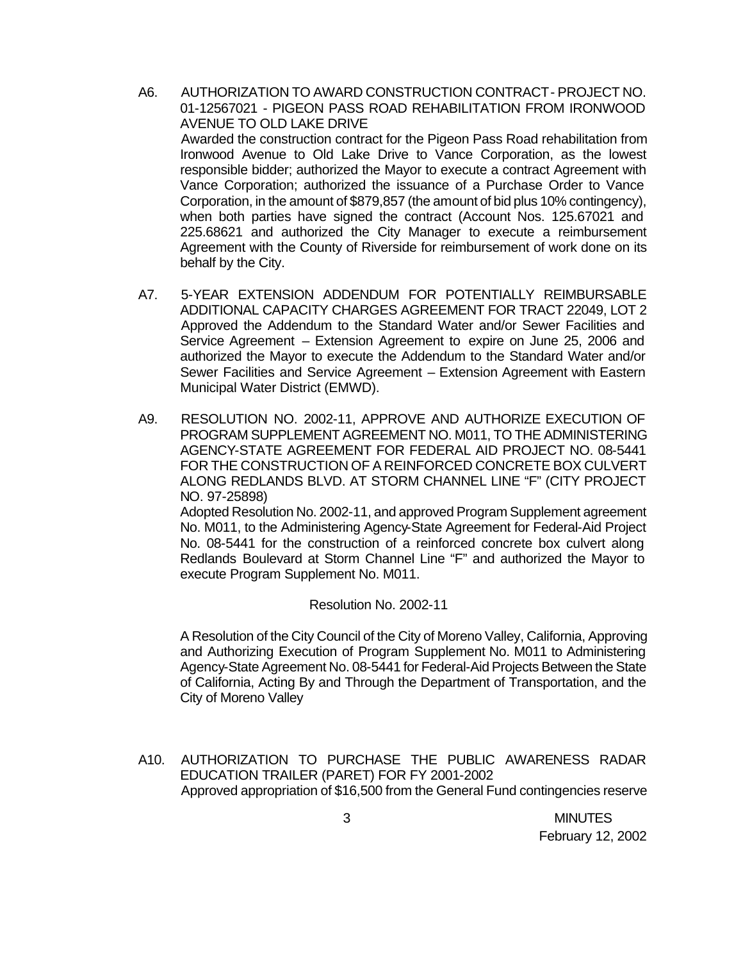- A6. AUTHORIZATION TO AWARD CONSTRUCTION CONTRACT PROJECT NO. 01-12567021 - PIGEON PASS ROAD REHABILITATION FROM IRONWOOD AVENUE TO OLD LAKE DRIVE Awarded the construction contract for the Pigeon Pass Road rehabilitation from Ironwood Avenue to Old Lake Drive to Vance Corporation, as the lowest responsible bidder; authorized the Mayor to execute a contract Agreement with Vance Corporation; authorized the issuance of a Purchase Order to Vance Corporation, in the amount of \$879,857 (the amount of bid plus 10% contingency), when both parties have signed the contract (Account Nos. 125.67021 and 225.68621 and authorized the City Manager to execute a reimbursement Agreement with the County of Riverside for reimbursement of work done on its behalf by the City.
- A7. 5-YEAR EXTENSION ADDENDUM FOR POTENTIALLY REIMBURSABLE ADDITIONAL CAPACITY CHARGES AGREEMENT FOR TRACT 22049, LOT 2 Approved the Addendum to the Standard Water and/or Sewer Facilities and Service Agreement – Extension Agreement to expire on June 25, 2006 and authorized the Mayor to execute the Addendum to the Standard Water and/or Sewer Facilities and Service Agreement – Extension Agreement with Eastern Municipal Water District (EMWD).
- A9. RESOLUTION NO. 2002-11, APPROVE AND AUTHORIZE EXECUTION OF PROGRAM SUPPLEMENT AGREEMENT NO. M011, TO THE ADMINISTERING AGENCY-STATE AGREEMENT FOR FEDERAL AID PROJECT NO. 08-5441 FOR THE CONSTRUCTION OF A REINFORCED CONCRETE BOX CULVERT ALONG REDLANDS BLVD. AT STORM CHANNEL LINE "F" (CITY PROJECT NO. 97-25898)

Adopted Resolution No. 2002-11, and approved Program Supplement agreement No. M011, to the Administering Agency-State Agreement for Federal-Aid Project No. 08-5441 for the construction of a reinforced concrete box culvert along Redlands Boulevard at Storm Channel Line "F" and authorized the Mayor to execute Program Supplement No. M011.

#### Resolution No. 2002-11

A Resolution of the City Council of the City of Moreno Valley, California, Approving and Authorizing Execution of Program Supplement No. M011 to Administering Agency-State Agreement No. 08-5441 for Federal-Aid Projects Between the State of California, Acting By and Through the Department of Transportation, and the City of Moreno Valley

A10. AUTHORIZATION TO PURCHASE THE PUBLIC AWARENESS RADAR EDUCATION TRAILER (PARET) FOR FY 2001-2002 Approved appropriation of \$16,500 from the General Fund contingencies reserve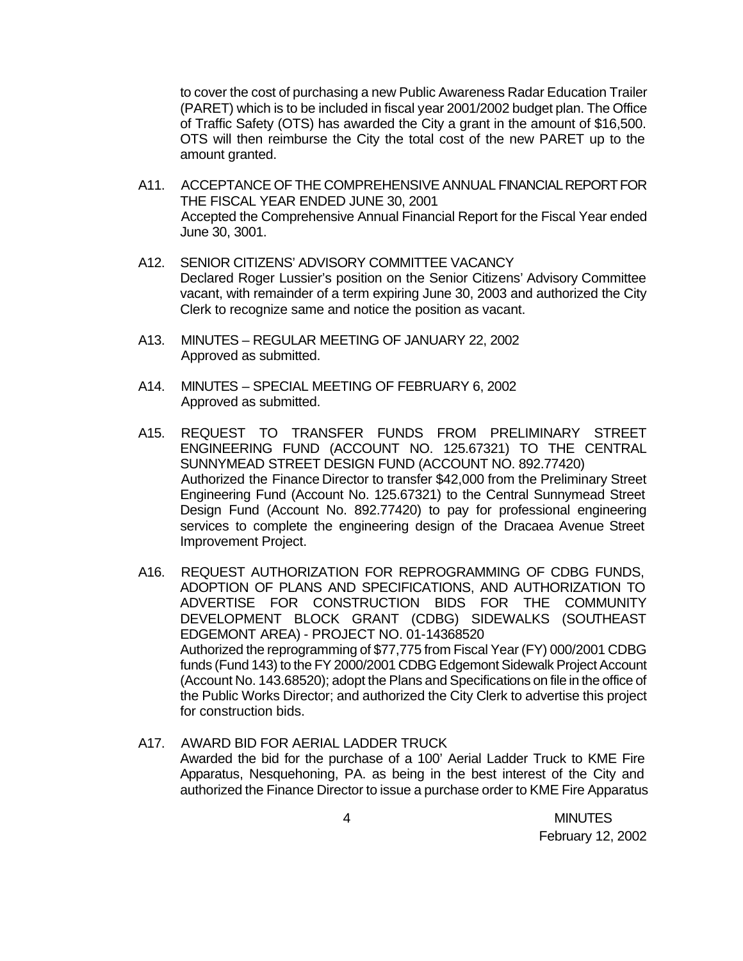to cover the cost of purchasing a new Public Awareness Radar Education Trailer (PARET) which is to be included in fiscal year 2001/2002 budget plan. The Office of Traffic Safety (OTS) has awarded the City a grant in the amount of \$16,500. OTS will then reimburse the City the total cost of the new PARET up to the amount granted.

- A11. ACCEPTANCE OF THE COMPREHENSIVE ANNUAL FINANCIAL REPORT FOR THE FISCAL YEAR ENDED JUNE 30, 2001 Accepted the Comprehensive Annual Financial Report for the Fiscal Year ended June 30, 3001.
- A12. SENIOR CITIZENS' ADVISORY COMMITTEE VACANCY Declared Roger Lussier's position on the Senior Citizens' Advisory Committee vacant, with remainder of a term expiring June 30, 2003 and authorized the City Clerk to recognize same and notice the position as vacant.
- A13. MINUTES REGULAR MEETING OF JANUARY 22, 2002 Approved as submitted.
- A14. MINUTES SPECIAL MEETING OF FEBRUARY 6, 2002 Approved as submitted.
- A15. REQUEST TO TRANSFER FUNDS FROM PRELIMINARY STREET ENGINEERING FUND (ACCOUNT NO. 125.67321) TO THE CENTRAL SUNNYMEAD STREET DESIGN FUND (ACCOUNT NO. 892.77420) Authorized the Finance Director to transfer \$42,000 from the Preliminary Street Engineering Fund (Account No. 125.67321) to the Central Sunnymead Street Design Fund (Account No. 892.77420) to pay for professional engineering services to complete the engineering design of the Dracaea Avenue Street Improvement Project.
- A16. REQUEST AUTHORIZATION FOR REPROGRAMMING OF CDBG FUNDS, ADOPTION OF PLANS AND SPECIFICATIONS, AND AUTHORIZATION TO ADVERTISE FOR CONSTRUCTION BIDS FOR THE COMMUNITY DEVELOPMENT BLOCK GRANT (CDBG) SIDEWALKS (SOUTHEAST EDGEMONT AREA) - PROJECT NO. 01-14368520 Authorized the reprogramming of \$77,775 from Fiscal Year (FY) 000/2001 CDBG funds (Fund 143) to the FY 2000/2001 CDBG Edgemont Sidewalk Project Account (Account No. 143.68520); adopt the Plans and Specifications on file in the office of the Public Works Director; and authorized the City Clerk to advertise this project for construction bids.
- A17. AWARD BID FOR AERIAL LADDER TRUCK Awarded the bid for the purchase of a 100' Aerial Ladder Truck to KME Fire Apparatus, Nesquehoning, PA. as being in the best interest of the City and authorized the Finance Director to issue a purchase order to KME Fire Apparatus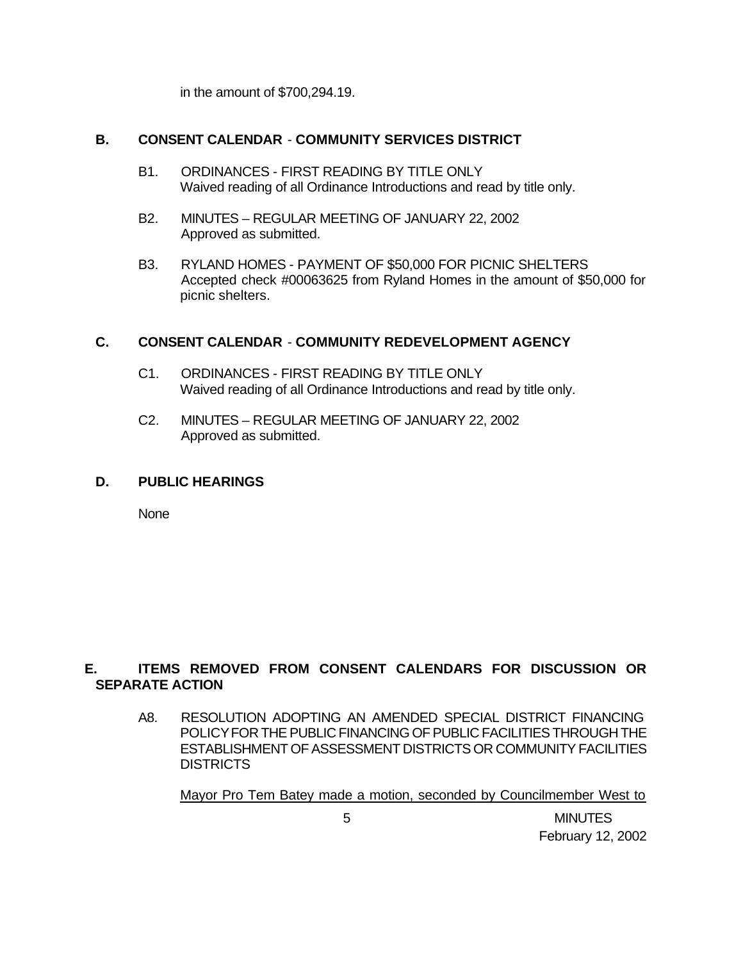in the amount of \$700,294.19.

### **B. CONSENT CALENDAR** - **COMMUNITY SERVICES DISTRICT**

- B1. ORDINANCES FIRST READING BY TITLE ONLY Waived reading of all Ordinance Introductions and read by title only.
- B2. MINUTES REGULAR MEETING OF JANUARY 22, 2002 Approved as submitted.
- B3. RYLAND HOMES PAYMENT OF \$50,000 FOR PICNIC SHELTERS Accepted check #00063625 from Ryland Homes in the amount of \$50,000 for picnic shelters.

## **C. CONSENT CALENDAR** - **COMMUNITY REDEVELOPMENT AGENCY**

- C1. ORDINANCES FIRST READING BY TITLE ONLY Waived reading of all Ordinance Introductions and read by title only.
- C2. MINUTES REGULAR MEETING OF JANUARY 22, 2002 Approved as submitted.

### **D. PUBLIC HEARINGS**

None

# **E. ITEMS REMOVED FROM CONSENT CALENDARS FOR DISCUSSION OR SEPARATE ACTION**

A8. RESOLUTION ADOPTING AN AMENDED SPECIAL DISTRICT FINANCING POLICY FOR THE PUBLIC FINANCING OF PUBLIC FACILITIES THROUGH THE ESTABLISHMENT OF ASSESSMENT DISTRICTS OR COMMUNITY FACILITIES **DISTRICTS** 

Mayor Pro Tem Batey made a motion, seconded by Councilmember West to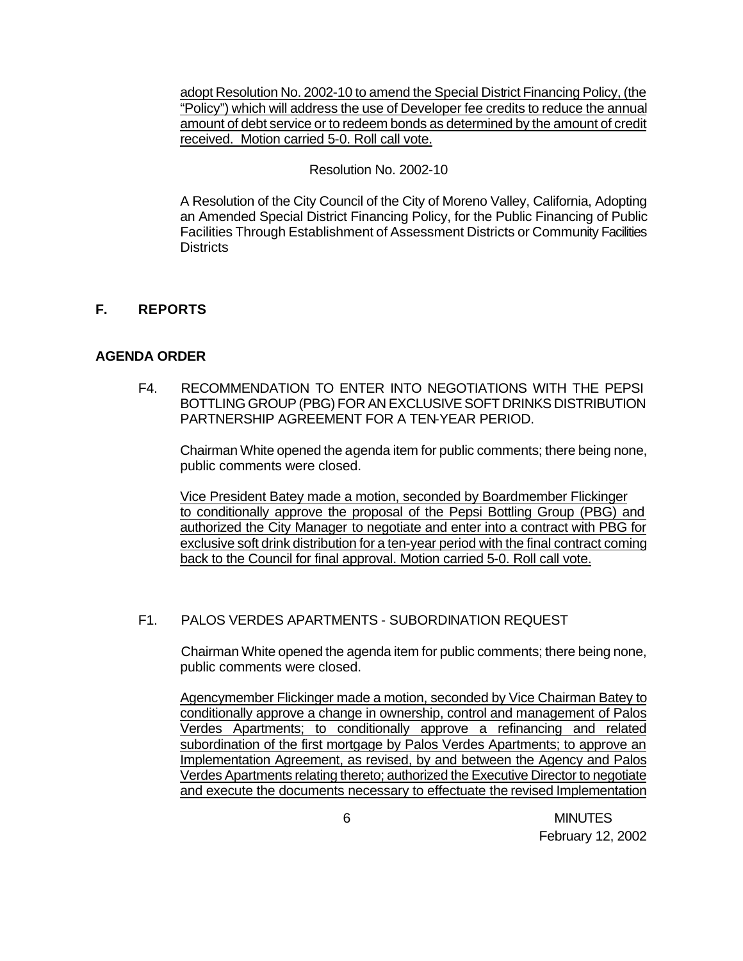adopt Resolution No. 2002-10 to amend the Special District Financing Policy, (the "Policy") which will address the use of Developer fee credits to reduce the annual amount of debt service or to redeem bonds as determined by the amount of credit received. Motion carried 5-0. Roll call vote.

### Resolution No. 2002-10

A Resolution of the City Council of the City of Moreno Valley, California, Adopting an Amended Special District Financing Policy, for the Public Financing of Public Facilities Through Establishment of Assessment Districts or Community Facilities **Districts** 

## **F. REPORTS**

### **AGENDA ORDER**

F4. RECOMMENDATION TO ENTER INTO NEGOTIATIONS WITH THE PEPSI BOTTLING GROUP (PBG) FOR AN EXCLUSIVE SOFT DRINKS DISTRIBUTION PARTNERSHIP AGREEMENT FOR A TEN-YEAR PERIOD.

Chairman White opened the agenda item for public comments; there being none, public comments were closed.

Vice President Batey made a motion, seconded by Boardmember Flickinger to conditionally approve the proposal of the Pepsi Bottling Group (PBG) and authorized the City Manager to negotiate and enter into a contract with PBG for exclusive soft drink distribution for a ten-year period with the final contract coming back to the Council for final approval. Motion carried 5-0. Roll call vote.

### F1. PALOS VERDES APARTMENTS - SUBORDINATION REQUEST

Chairman White opened the agenda item for public comments; there being none, public comments were closed.

Agencymember Flickinger made a motion, seconded by Vice Chairman Batey to conditionally approve a change in ownership, control and management of Palos Verdes Apartments; to conditionally approve a refinancing and related subordination of the first mortgage by Palos Verdes Apartments; to approve an Implementation Agreement, as revised, by and between the Agency and Palos Verdes Apartments relating thereto; authorized the Executive Director to negotiate and execute the documents necessary to effectuate the revised Implementation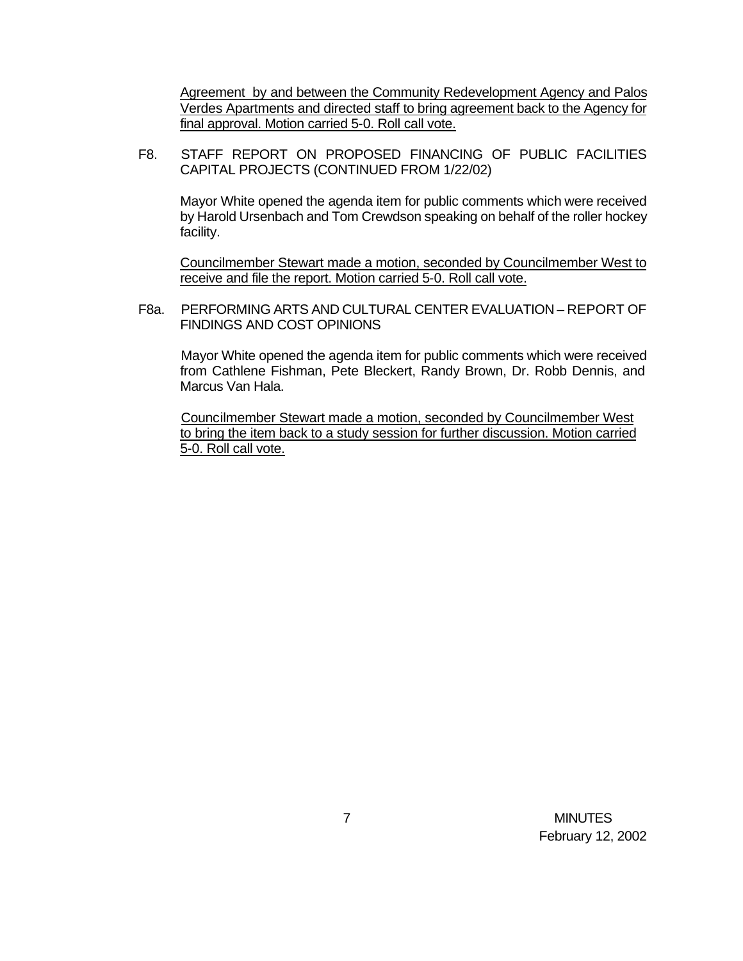Agreement by and between the Community Redevelopment Agency and Palos Verdes Apartments and directed staff to bring agreement back to the Agency for final approval. Motion carried 5-0. Roll call vote.

F8. STAFF REPORT ON PROPOSED FINANCING OF PUBLIC FACILITIES CAPITAL PROJECTS (CONTINUED FROM 1/22/02)

Mayor White opened the agenda item for public comments which were received by Harold Ursenbach and Tom Crewdson speaking on behalf of the roller hockey facility.

Councilmember Stewart made a motion, seconded by Councilmember West to receive and file the report. Motion carried 5-0. Roll call vote.

F8a. PERFORMING ARTS AND CULTURAL CENTER EVALUATION – REPORT OF FINDINGS AND COST OPINIONS

Mayor White opened the agenda item for public comments which were received from Cathlene Fishman, Pete Bleckert, Randy Brown, Dr. Robb Dennis, and Marcus Van Hala.

Councilmember Stewart made a motion, seconded by Councilmember West to bring the item back to a study session for further discussion. Motion carried 5-0. Roll call vote.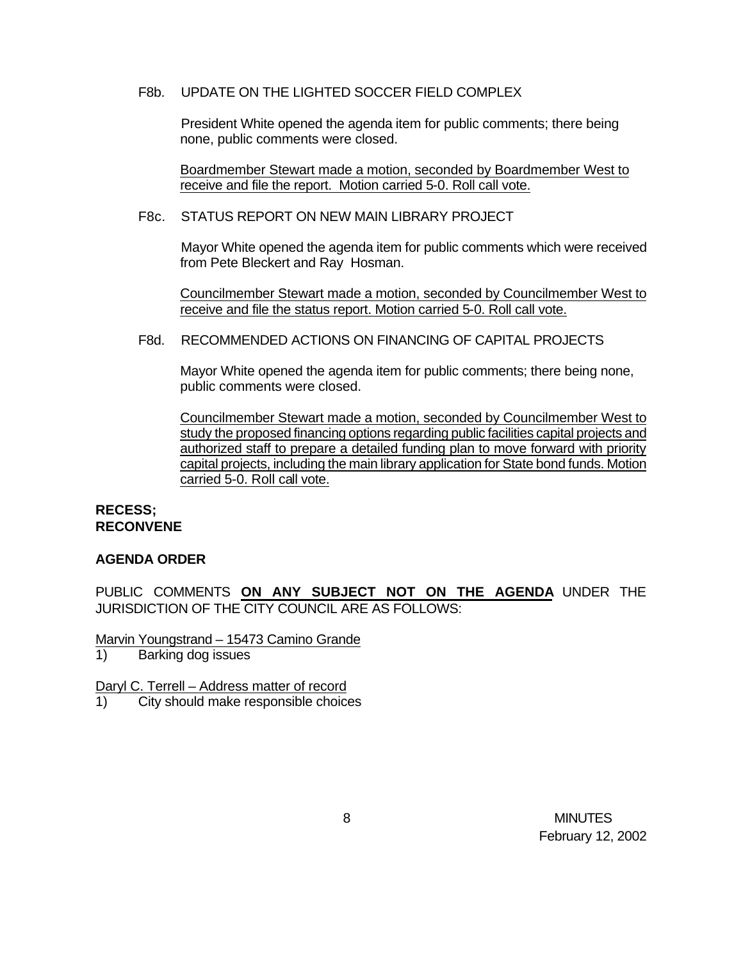### F8b. UPDATE ON THE LIGHTED SOCCER FIELD COMPLEX

President White opened the agenda item for public comments; there being none, public comments were closed.

Boardmember Stewart made a motion, seconded by Boardmember West to receive and file the report. Motion carried 5-0. Roll call vote.

#### F8c. STATUS REPORT ON NEW MAIN LIBRARY PROJECT

Mayor White opened the agenda item for public comments which were received from Pete Bleckert and Ray Hosman.

Councilmember Stewart made a motion, seconded by Councilmember West to receive and file the status report. Motion carried 5-0. Roll call vote.

### F8d. RECOMMENDED ACTIONS ON FINANCING OF CAPITAL PROJECTS

Mayor White opened the agenda item for public comments; there being none, public comments were closed.

Councilmember Stewart made a motion, seconded by Councilmember West to study the proposed financing options regarding public facilities capital projects and authorized staff to prepare a detailed funding plan to move forward with priority capital projects, including the main library application for State bond funds. Motion carried 5-0. Roll call vote.

#### **RECESS; RECONVENE**

#### **AGENDA ORDER**

PUBLIC COMMENTS **ON ANY SUBJECT NOT ON THE AGENDA** UNDER THE JURISDICTION OF THE CITY COUNCIL ARE AS FOLLOWS:

Marvin Youngstrand – 15473 Camino Grande

1) Barking dog issues

Daryl C. Terrell – Address matter of record

1) City should make responsible choices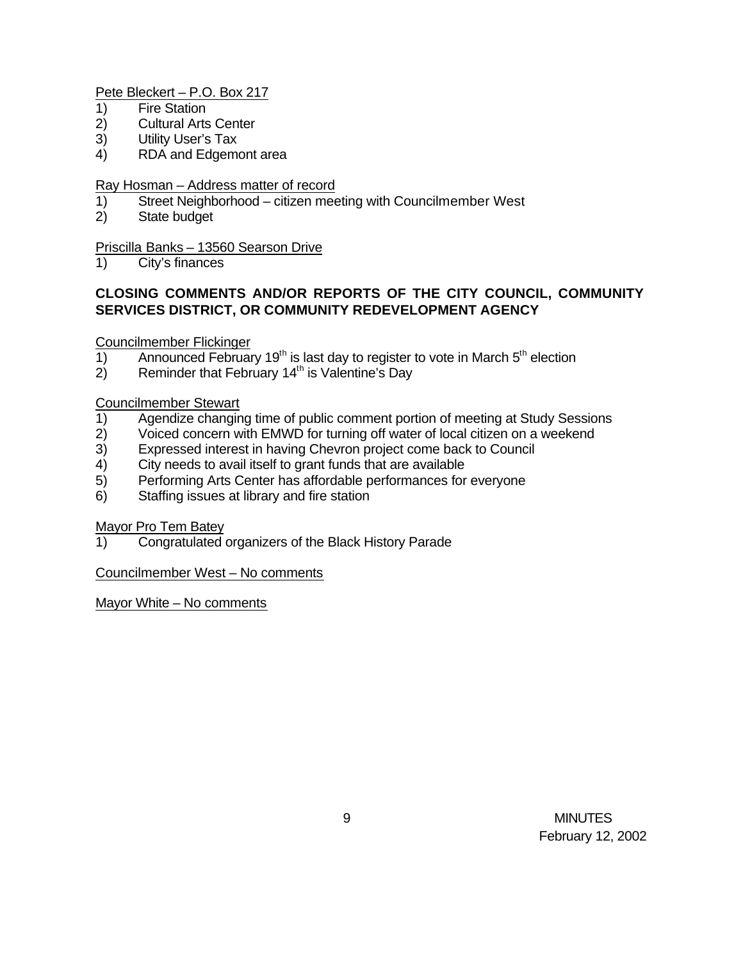### Pete Bleckert – P.O. Box 217

- 1) Fire Station
- 2) Cultural Arts Center
- 3) Utility User's Tax
- 4) RDA and Edgemont area

### Ray Hosman – Address matter of record

- 1) Street Neighborhood citizen meeting with Councilmember West
- 2) State budget

### Priscilla Banks – 13560 Searson Drive

1) City's finances

## **CLOSING COMMENTS AND/OR REPORTS OF THE CITY COUNCIL, COMMUNITY SERVICES DISTRICT, OR COMMUNITY REDEVELOPMENT AGENCY**

### Councilmember Flickinger

- 1) Announced February 19<sup>th</sup> is last day to register to vote in March  $5<sup>th</sup>$  election
- $2)$  Reminder that February 14<sup>th</sup> is Valentine's Day

#### Councilmember Stewart

- 1) Agendize changing time of public comment portion of meeting at Study Sessions
- 2) Voiced concern with EMWD for turning off water of local citizen on a weekend
- 3) Expressed interest in having Chevron project come back to Council
- 4) City needs to avail itself to grant funds that are available
- 5) Performing Arts Center has affordable performances for everyone
- 6) Staffing issues at library and fire station

### Mayor Pro Tem Batey

1) Congratulated organizers of the Black History Parade

#### Councilmember West – No comments

Mayor White – No comments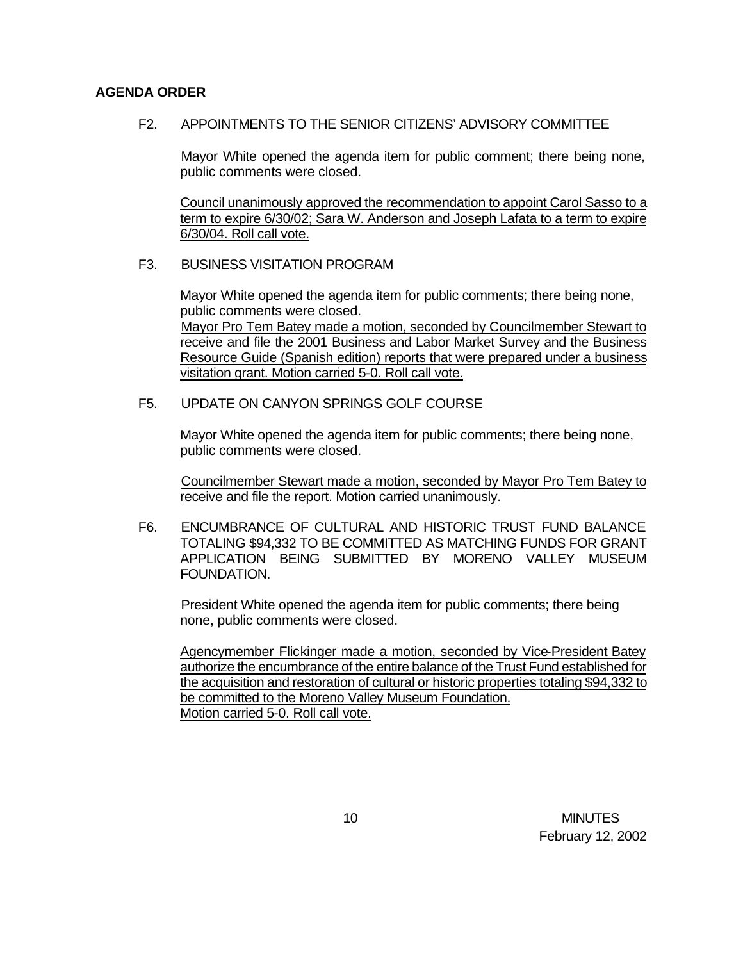### **AGENDA ORDER**

F2. APPOINTMENTS TO THE SENIOR CITIZENS' ADVISORY COMMITTEE

Mayor White opened the agenda item for public comment; there being none, public comments were closed.

Council unanimously approved the recommendation to appoint Carol Sasso to a term to expire 6/30/02; Sara W. Anderson and Joseph Lafata to a term to expire 6/30/04. Roll call vote.

### F3. BUSINESS VISITATION PROGRAM

Mayor White opened the agenda item for public comments; there being none, public comments were closed. Mayor Pro Tem Batey made a motion, seconded by Councilmember Stewart to receive and file the 2001 Business and Labor Market Survey and the Business Resource Guide (Spanish edition) reports that were prepared under a business visitation grant. Motion carried 5-0. Roll call vote.

F5. UPDATE ON CANYON SPRINGS GOLF COURSE

Mayor White opened the agenda item for public comments; there being none, public comments were closed.

Councilmember Stewart made a motion, seconded by Mayor Pro Tem Batey to receive and file the report. Motion carried unanimously.

F6. ENCUMBRANCE OF CULTURAL AND HISTORIC TRUST FUND BALANCE TOTALING \$94,332 TO BE COMMITTED AS MATCHING FUNDS FOR GRANT APPLICATION BEING SUBMITTED BY MORENO VALLEY MUSEUM FOUNDATION.

President White opened the agenda item for public comments; there being none, public comments were closed.

Agencymember Flickinger made a motion, seconded by Vice-President Batey authorize the encumbrance of the entire balance of the Trust Fund established for the acquisition and restoration of cultural or historic properties totaling \$94,332 to be committed to the Moreno Valley Museum Foundation. Motion carried 5-0. Roll call vote.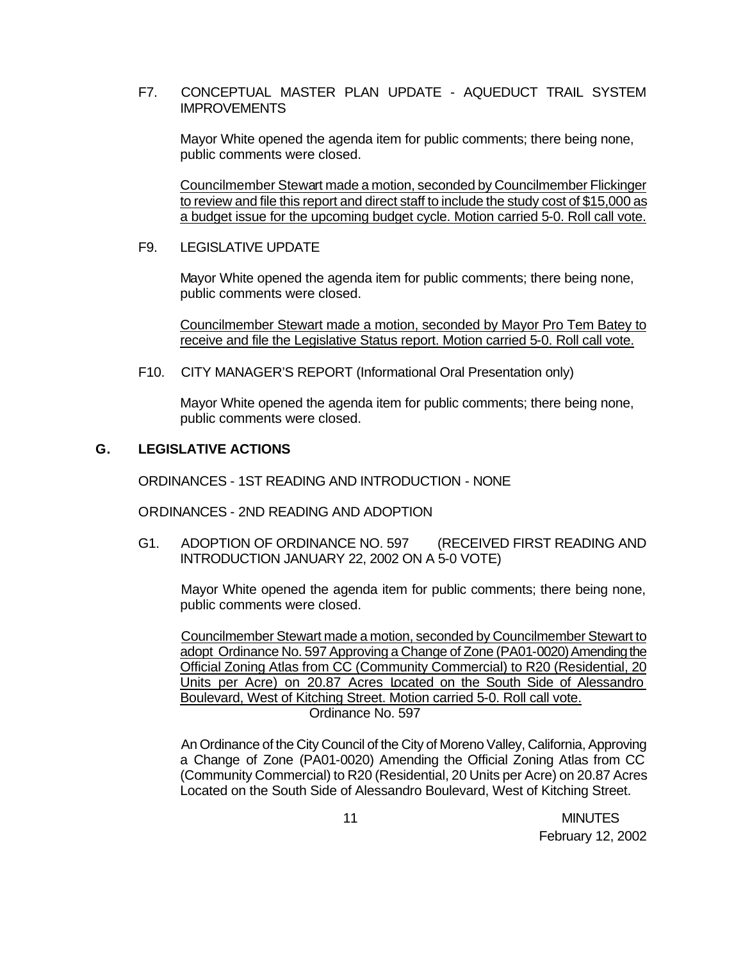### F7. CONCEPTUAL MASTER PLAN UPDATE - AQUEDUCT TRAIL SYSTEM **IMPROVEMENTS**

Mayor White opened the agenda item for public comments; there being none, public comments were closed.

Councilmember Stewart made a motion, seconded by Councilmember Flickinger to review and file this report and direct staff to include the study cost of \$15,000 as a budget issue for the upcoming budget cycle. Motion carried 5-0. Roll call vote.

### F9. LEGISLATIVE UPDATE

Mayor White opened the agenda item for public comments; there being none, public comments were closed.

Councilmember Stewart made a motion, seconded by Mayor Pro Tem Batey to receive and file the Legislative Status report. Motion carried 5-0. Roll call vote.

F10. CITY MANAGER'S REPORT (Informational Oral Presentation only)

Mayor White opened the agenda item for public comments; there being none, public comments were closed.

### **G. LEGISLATIVE ACTIONS**

ORDINANCES - 1ST READING AND INTRODUCTION - NONE

ORDINANCES - 2ND READING AND ADOPTION

G1. ADOPTION OF ORDINANCE NO. 597 (RECEIVED FIRST READING AND INTRODUCTION JANUARY 22, 2002 ON A 5-0 VOTE)

Mayor White opened the agenda item for public comments; there being none, public comments were closed.

Councilmember Stewart made a motion, seconded by Councilmember Stewart to adopt Ordinance No. 597 Approving a Change of Zone (PA01-0020) Amending the Official Zoning Atlas from CC (Community Commercial) to R20 (Residential, 20 Units per Acre) on 20.87 Acres Located on the South Side of Alessandro Boulevard, West of Kitching Street. Motion carried 5-0. Roll call vote. Ordinance No. 597

An Ordinance of the City Council of the City of Moreno Valley, California, Approving a Change of Zone (PA01-0020) Amending the Official Zoning Atlas from CC (Community Commercial) to R20 (Residential, 20 Units per Acre) on 20.87 Acres Located on the South Side of Alessandro Boulevard, West of Kitching Street.